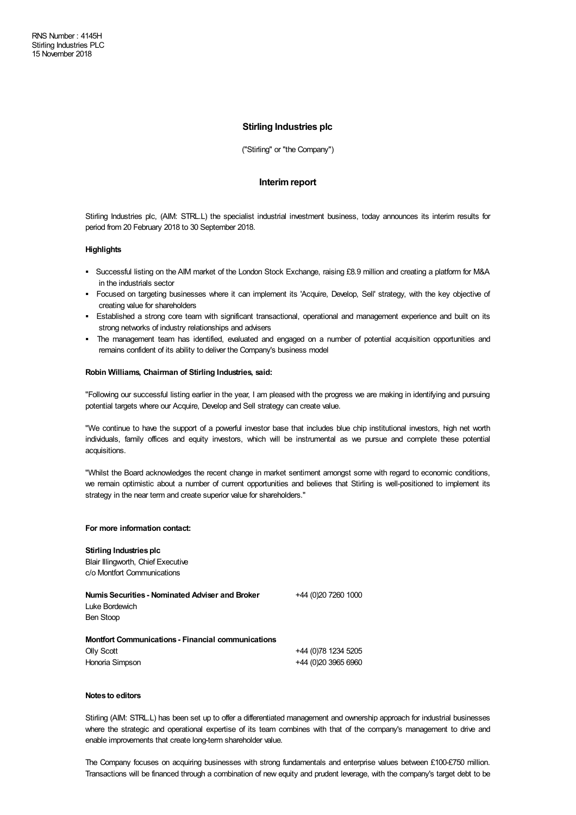## **Stirling Industries plc**

("Stirling" or "the Company")

### **Interim report**

Stirling Industries plc, (AIM: STRL.L) the specialist industrial investment business, today announces its interim results for period from 20 February 2018 to 30 September 2018.

## **Highlights**

- § Successful listing on the AIM market of the London Stock Exchange, raising £8.9 million and creating a platform for M&A in the industrials sector
- § Focused on targeting businesses where it can implement its 'Acquire, Develop, Sell' strategy, with the key objective of creating value for shareholders
- § Established a strong core team with significant transactional, operational and management experience and built on its strong networks of industry relationships and advisers
- § The management team has identified, evaluated and engaged on a number of potential acquisition opportunities and remains confident of its ability to deliver the Company's business model

#### **Robin Williams, Chairman of Stirling Industries, said:**

"Following our successful listing earlier in the year, I am pleased with the progress we are making in identifying and pursuing potential targets where our Acquire, Develop and Sell strategy can create value.

"We continue to have the support of a powerful investor base that includes blue chip institutional investors, high net worth individuals, family offices and equity investors, which will be instrumental as we pursue and complete these potential acquisitions.

"Whilst the Board acknowledges the recent change in market sentiment amongst some with regard to economic conditions, we remain optimistic about a number of current opportunities and believes that Stirling is well-positioned to implement its strategy in the near term and create superior value for shareholders."

#### **For more information contact:**

**Stirling Industries plc** Blair Illingworth, Chief Executive c/o Montfort Communications **NumisSecurities - Nominated Adviser and Broker** Luke Bordewich Ben Stoop +44 (0)20 7260 1000 **Montfort Communications - Financial communications** Olly Scott Honoria Simpson +44 (0)78 1234 5205 +44 (0)20 3965 6960

## **Notes to editors**

Stirling (AIM: STRL.L) has been set up to offer a differentiated management and ownership approach for industrial businesses where the strategic and operational expertise of its team combines with that of the company's management to drive and enable improvements that create long-term shareholder value.

The Company focuses on acquiring businesses with strong fundamentals and enterprise values between £100-£750 million. Transactions will be financed through a combination of new equity and prudent leverage, with the company's target debt to be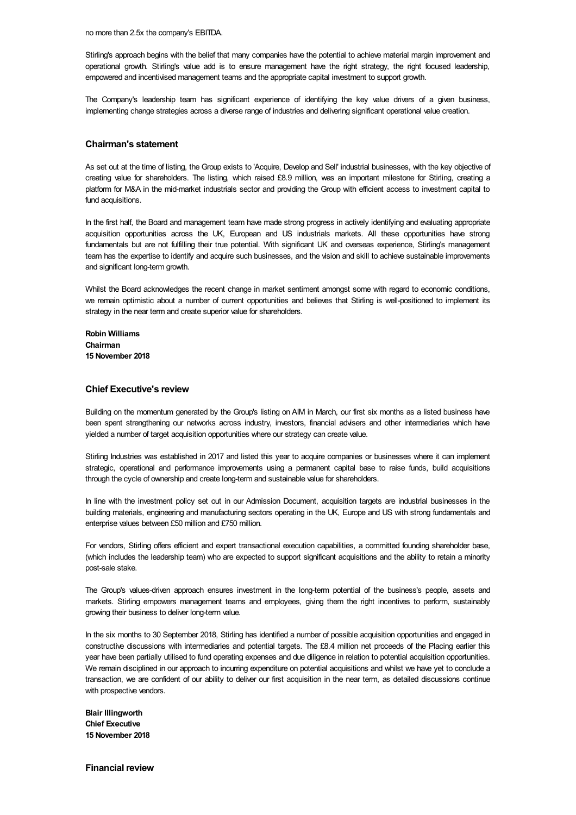no more than 2.5x the company's EBITDA.

Stirling's approach begins with the belief that many companies have the potential to achieve material margin improvement and operational growth. Stirling's value add is to ensure management have the right strategy, the right focused leadership, empowered and incentivised management teams and the appropriate capital investment to support growth.

The Company's leadership team has significant experience of identifying the key value drivers of a given business, implementing change strategies across a diverse range of industries and delivering significant operational value creation.

# **Chairman's statement**

As set out at the time of listing, the Group exists to 'Acquire, Develop and Sell' industrial businesses, with the key objective of creating value for shareholders. The listing, which raised £8.9 million, was an important milestone for Stirling, creating a platform for M&A in the mid-market industrials sector and providing the Group with efficient access to investment capital to fund acquisitions.

In the first half, the Board and management team have made strong progress in actively identifying and evaluating appropriate acquisition opportunities across the UK, European and US industrials markets. All these opportunities have strong fundamentals but are not fulfilling their true potential. With significant UK and overseas experience, Stirling's management team has the expertise to identify and acquire such businesses, and the vision and skill to achieve sustainable improvements and significant long-term growth.

Whilst the Board acknowledges the recent change in market sentiment amongst some with regard to economic conditions, we remain optimistic about a number of current opportunities and believes that Stirling is well-positioned to implement its strategy in the near term and create superior value for shareholders.

**Robin Williams Chairman 15 November 2018**

# **Chief Executive's review**

Building on the momentum generated by the Group's listing on AIM in March, our first six months as a listed business have been spent strengthening our networks across industry, investors, financial advisers and other intermediaries which have yielded a number of target acquisition opportunities where our strategy can create value.

Stirling Industries was established in 2017 and listed this year to acquire companies or businesses where it can implement strategic, operational and performance improvements using a permanent capital base to raise funds, build acquisitions through the cycle of ownership and create long-term and sustainable value for shareholders.

In line with the investment policy set out in our Admission Document, acquisition targets are industrial businesses in the building materials, engineering and manufacturing sectors operating in the UK, Europe and US with strong fundamentals and enterprise values between £50 million and £750 million.

For vendors, Stirling offers efficient and expert transactional execution capabilities, a committed founding shareholder base, (which includes the leadership team) who are expected to support significant acquisitions and the ability to retain a minority post-sale stake.

The Group's values-driven approach ensures investment in the long-term potential of the business's people, assets and markets. Stirling empowers management teams and employees, giving them the right incentives to perform, sustainably growing their business to deliver long-term value.

In the six months to 30 September 2018, Stirling has identified a number of possible acquisition opportunities and engaged in constructive discussions with intermediaries and potential targets. The £8.4 million net proceeds of the Placing earlier this year have been partially utilised to fund operating expenses and due diligence in relation to potential acquisition opportunities. We remain disciplined in our approach to incurring expenditure on potential acquisitions and whilst we have yet to conclude a transaction, we are confident of our ability to deliver our first acquisition in the near term, as detailed discussions continue with prospective vendors.

**Blair Illingworth Chief Executive 15 November 2018**

**Financial review**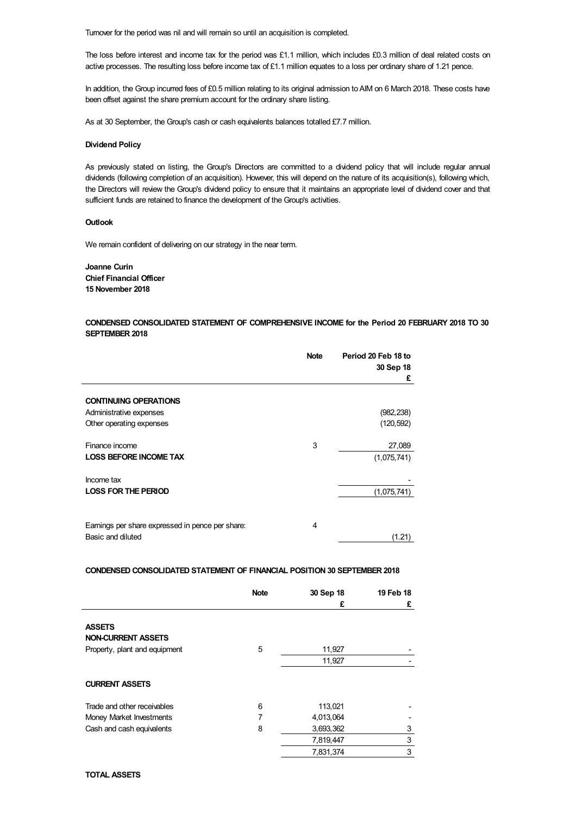Turnover for the period was nil and will remain so until an acquisition is completed.

The loss before interest and income tax for the period was £1.1 million, which includes £0.3 million of deal related costs on active processes. The resulting loss before income tax of £1.1 million equates to a loss per ordinary share of 1.21 pence.

In addition, the Group incurred fees of £0.5 million relating to its original admission toAIM on 6 March 2018. These costs have been offset against the share premium account for the ordinary share listing.

As at 30 September, the Group's cash or cash equivalents balances totalled £7.7 million.

# **Dividend Policy**

As previously stated on listing, the Group's Directors are committed to a dividend policy that will include regular annual dividends (following completion of an acquisition). However, this will depend on the nature of its acquisition(s), following which, the Directors will review the Group's dividend policy to ensure that it maintains an appropriate level of dividend cover and that sufficient funds are retained to finance the development of the Group's activities.

#### **Outlook**

We remain confident of delivering on our strategy in the near term.

**Joanne Curin Chief Financial Officer 15 November 2018**

**CONDENSED CONSOLIDATED STATEMENT OF COMPREHENSIVE INCOME for the Period 20 FEBRUARY 2018 TO 30 SEPTEMBER 2018**

|                                                  | <b>Note</b> | Period 20 Feb 18 to |
|--------------------------------------------------|-------------|---------------------|
|                                                  |             | 30 Sep 18<br>£      |
| <b>CONTINUING OPERATIONS</b>                     |             |                     |
| Administrative expenses                          |             | (982, 238)          |
| Other operating expenses                         |             | (120, 592)          |
| Finance income                                   | 3           | 27,089              |
| <b>LOSS BEFORE INCOME TAX</b>                    |             | (1,075,741)         |
| Income tax                                       |             |                     |
| <b>LOSS FOR THE PERIOD</b>                       |             | (1,075,741)         |
|                                                  |             |                     |
| Earnings per share expressed in pence per share: | 4           |                     |
| Basic and diluted                                |             | (1.21)              |

**CONDENSED CONSOLIDATED STATEMENT OF FINANCIAL POSITION 30 SEPTEMBER 2018**

| <b>Note</b> | 30 Sep 18 | 19 Feb 18 |
|-------------|-----------|-----------|
|             | £         | £         |
|             |           |           |
| 5           | 11,927    |           |
|             | 11,927    |           |
|             |           |           |
| 6           | 113,021   |           |
| 7           | 4,013,064 |           |
| 8           | 3,693,362 | 3         |
|             | 7,819,447 | 3         |
|             | 7,831,374 | 3         |
|             |           |           |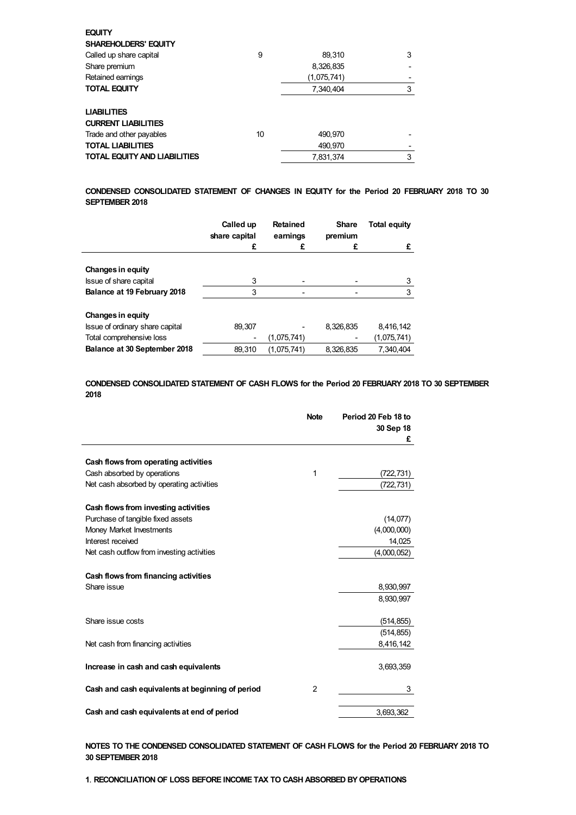| <b>EQUITY</b><br><b>SHAREHOLDERS' EQUITY</b>                                                                                                    |    |                                 |   |
|-------------------------------------------------------------------------------------------------------------------------------------------------|----|---------------------------------|---|
| Called up share capital                                                                                                                         | 9  | 89.310                          | 3 |
| Share premium                                                                                                                                   |    | 8,326,835                       |   |
| Retained earnings                                                                                                                               |    | (1,075,741)                     |   |
| <b>TOTAL EQUITY</b>                                                                                                                             |    | 7,340,404                       | 3 |
| <b>LIABILITIES</b><br><b>CURRENT LIABILITIES</b><br>Trade and other payables<br><b>TOTAL LIABILITIES</b><br><b>TOTAL EQUITY AND LIABILITIES</b> | 10 | 490,970<br>490,970<br>7,831,374 | 3 |

**CONDENSED CONSOLIDATED STATEMENT OF CHANGES IN EQUITY for the Period 20 FEBRUARY 2018 TO 30 SEPTEMBER 2018**

|                                 | Called up<br>share capital | <b>Retained</b><br>earnings | <b>Share</b><br>premium | <b>Total equity</b> |
|---------------------------------|----------------------------|-----------------------------|-------------------------|---------------------|
|                                 | £                          | £                           | £                       | £                   |
| <b>Changes in equity</b>        |                            |                             |                         |                     |
| Issue of share capital          | 3                          |                             |                         | 3                   |
| Balance at 19 February 2018     | 3                          |                             |                         | 3                   |
| <b>Changes in equity</b>        |                            |                             |                         |                     |
| Issue of ordinary share capital | 89,307                     |                             | 8.326.835               | 8.416.142           |
| Total comprehensive loss        |                            | (1,075,741)                 |                         | (1,075,741)         |
| Balance at 30 September 2018    | 89.310                     | (1,075,741)                 | 8.326.835               | 7,340,404           |

**CONDENSED CONSOLIDATED STATEMENT OF CASH FLOWS for the Period 20 FEBRUARY 2018 TO 30 SEPTEMBER 2018**

|                                                  | <b>Note</b>    | Period 20 Feb 18 to<br>30 Sep 18<br>£ |
|--------------------------------------------------|----------------|---------------------------------------|
| Cash flows from operating activities             |                |                                       |
| Cash absorbed by operations                      | 1              | (722,731)                             |
| Net cash absorbed by operating activities        |                | (722, 731)                            |
| Cash flows from investing activities             |                |                                       |
| Purchase of tangible fixed assets                |                | (14, 077)                             |
| Money Market Investments                         |                | (4,000,000)                           |
| Interest received                                |                | 14,025                                |
| Net cash outflow from investing activities       |                | (4,000,052)                           |
| Cash flows from financing activities             |                |                                       |
| Share issue                                      |                | 8,930,997                             |
|                                                  |                | 8,930,997                             |
| Share issue costs                                |                | (514, 855)                            |
|                                                  |                | (514, 855)                            |
| Net cash from financing activities               |                | 8,416,142                             |
| Increase in cash and cash equivalents            |                | 3,693,359                             |
| Cash and cash equivalents at beginning of period | $\overline{2}$ | 3                                     |
| Cash and cash equivalents at end of period       |                | 3,693,362                             |
|                                                  |                |                                       |

**NOTES TO THE CONDENSED CONSOLIDATED STATEMENT OF CASH FLOWS for the Period 20 FEBRUARY 2018 TO 30 SEPTEMBER 2018**

**1**. **RECONCILIATIONOF LOSS BEFORE INCOME TAX TO CASH ABSORBED BYOPERATIONS**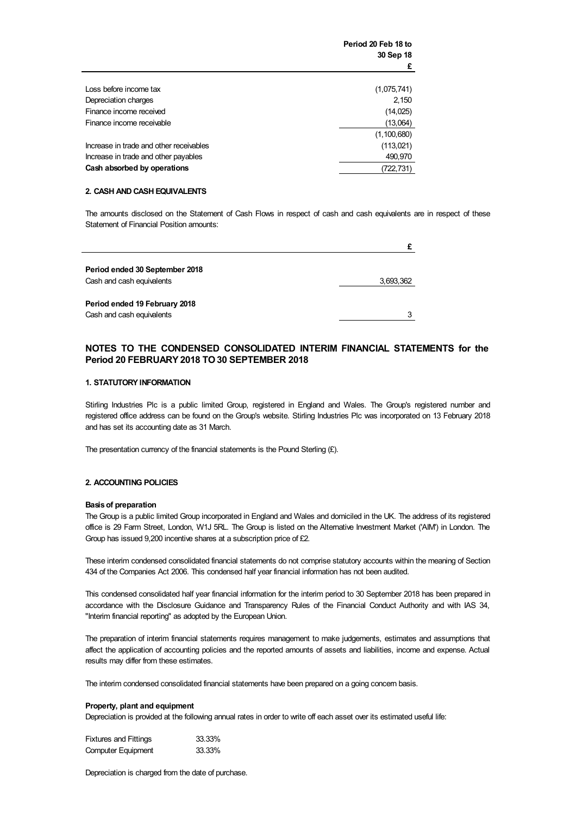|                                         | Period 20 Feb 18 to<br>30 Sep 18 |
|-----------------------------------------|----------------------------------|
|                                         | £                                |
|                                         |                                  |
| Loss before income tax                  | (1,075,741)                      |
| Depreciation charges                    | 2,150                            |
| Finance income received                 | (14, 025)                        |
| Finance income receivable               | (13,064)                         |
|                                         | (1, 100, 680)                    |
| Increase in trade and other receivables | (113, 021)                       |
| Increase in trade and other payables    | 490,970                          |
| Cash absorbed by operations             | (722, 731)                       |

## **2. CASH AND CASH EQUIVALENTS**

The amounts disclosed on the Statement of Cash Flows in respect of cash and cash equivalents are in respect of these Statement of Financial Position amounts:

| 3,693,362 |
|-----------|
|           |
|           |
|           |
|           |

# **NOTES TO THE CONDENSED CONSOLIDATED INTERIM FINANCIAL STATEMENTS for the Period 20 FEBRUARY2018 TO30 SEPTEMBER 2018**

### **1. STATUTORY INFORMATION**

Stirling Industries Plc is a public limited Group, registered in England and Wales. The Group's registered number and registered office address can be found on the Group's website. Stirling Industries Plc was incorporated on 13 February 2018 and has set its accounting date as 31 March.

The presentation currency of the financial statements is the Pound Sterling (£).

# **2. ACCOUNTING POLICIES**

### **Basisof preparation**

The Group is a public limited Group incorporated in England and Wales and domiciled in the UK. The address of its registered office is 29 Farm Street, London, W1J 5RL. The Group is listed on the Alternative Investment Market ('AIM') in London. The Group has issued 9,200 incentive shares at a subscription price of £2.

These interim condensed consolidated financial statements do not comprise statutory accounts within the meaning of Section 434 of the Companies Act 2006. This condensed half year financial information has not been audited.

This condensed consolidated half year financial information for the interim period to 30 September 2018 has been prepared in accordance with the Disclosure Guidance and Transparency Rules of the Financial Conduct Authority and with IAS 34, "Interim financial reporting" as adopted by the European Union.

The preparation of interim financial statements requires management to make judgements, estimates and assumptions that affect the application of accounting policies and the reported amounts of assets and liabilities, income and expense. Actual results may differ from these estimates.

The interim condensed consolidated financial statements have been prepared on a going concern basis.

### **Property, plant and equipment**

Depreciation is provided at the following annual rates in order to write off each asset over its estimated useful life:

| <b>Fixtures and Fittings</b> | 33.33% |
|------------------------------|--------|
| <b>Computer Equipment</b>    | 33.33% |

Depreciation is charged from the date of purchase.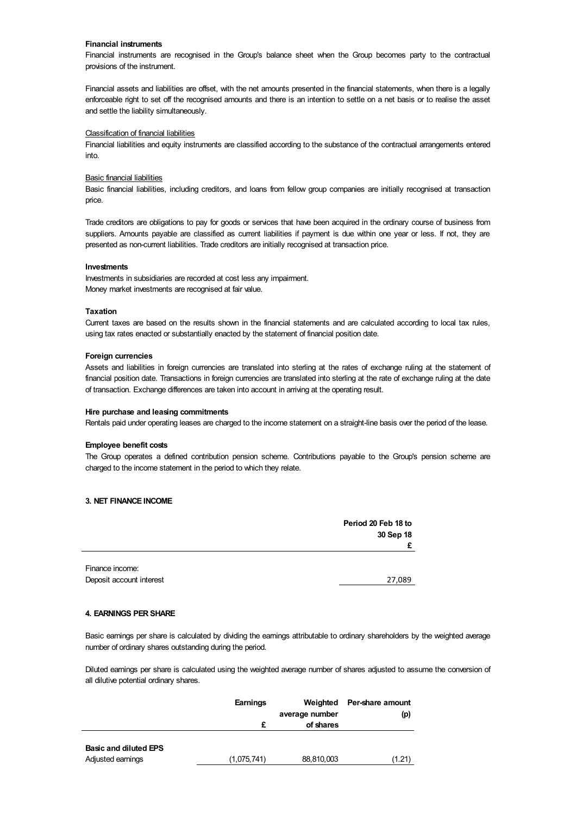### **Financial instruments**

Financial instruments are recognised in the Group's balance sheet when the Group becomes party to the contractual provisions of the instrument.

Financial assets and liabilities are offset, with the net amounts presented in the financial statements, when there is a legally enforceable right to set off the recognised amounts and there is an intention to settle on a net basis or to realise the asset and settle the liability simultaneously.

## Classification of financial liabilities

Financial liabilities and equity instruments are classified according to the substance of the contractual arrangements entered into.

#### Basic financial liabilities

Basic financial liabilities, including creditors, and loans from fellow group companies are initially recognised at transaction price.

Trade creditors are obligations to pay for goods or services that have been acquired in the ordinary course of business from suppliers. Amounts payable are classified as current liabilities if payment is due within one year or less. If not, they are presented as non-current liabilities. Trade creditors are initially recognised at transaction price.

#### **Investments**

Investments in subsidiaries are recorded at cost less any impairment. Money market investments are recognised at fair value.

#### **Taxation**

Current taxes are based on the results shown in the financial statements and are calculated according to local tax rules, using tax rates enacted or substantially enacted by the statement of financial position date.

### **Foreign currencies**

Assets and liabilities in foreign currencies are translated into sterling at the rates of exchange ruling at the statement of financial position date. Transactions in foreign currencies are translated into sterling at the rate of exchange ruling at the date of transaction. Exchange differences are taken into account in arriving at the operating result.

### **Hire purchase and leasing commitments**

Rentals paid under operating leases are charged to the income statement on a straight-line basis over the period of the lease.

#### **Employee benefit costs**

The Group operates a defined contribution pension scheme. Contributions payable to the Group's pension scheme are charged to the income statement in the period to which they relate.

## **3. NET FINANCE INCOME**

|                 | Period 20 Feb 18 to |
|-----------------|---------------------|
|                 | 30 Sep 18           |
|                 |                     |
| Finance income: |                     |

Deposit account interest 27,089

#### **4. EARNINGS PER SHARE**

Basic earnings per share is calculated by dividing the earnings attributable to ordinary shareholders by the weighted average number of ordinary shares outstanding during the period.

Diluted earnings per share is calculated using the weighted average number of shares adjusted to assume the conversion of all dilutive potential ordinary shares.

|                              | Earnings    |                | Weighted Per-share amount |
|------------------------------|-------------|----------------|---------------------------|
|                              |             | average number | (p)                       |
|                              |             | of shares      |                           |
|                              |             |                |                           |
| <b>Basic and diluted EPS</b> |             |                |                           |
| Adjusted earnings            | (1,075,741) | 88,810,003     | (1.21)                    |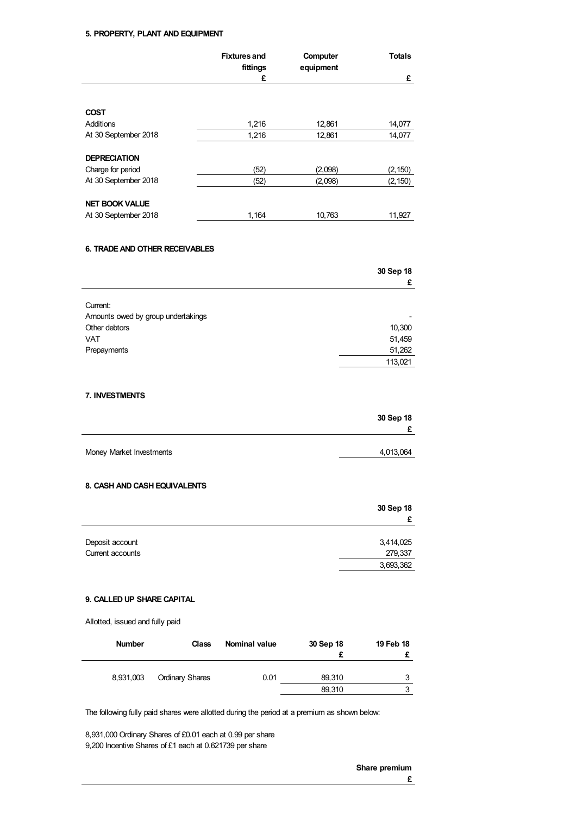# **5. PROPERTY, PLANT AND EQUIPMENT**

|                       | <b>Fixtures and</b><br>fittings | Computer<br>equipment | <b>Totals</b> |
|-----------------------|---------------------------------|-----------------------|---------------|
|                       | £                               |                       | £             |
|                       |                                 |                       |               |
| <b>COST</b>           |                                 |                       |               |
| Additions             | 1,216                           | 12,861                | 14,077        |
| At 30 September 2018  | 1,216                           | 12,861                | 14,077        |
| <b>DEPRECIATION</b>   |                                 |                       |               |
| Charge for period     | (52)                            | (2,098)               | (2, 150)      |
| At 30 September 2018  | (52)                            | (2,098)               | (2, 150)      |
| <b>NET BOOK VALUE</b> |                                 |                       |               |
| At 30 September 2018  | 1,164                           | 10,763                | 11,927        |

# **6. TRADEANDOTHER RECEIVABLES**

|                                    | 30 Sep 18                |
|------------------------------------|--------------------------|
|                                    | £                        |
|                                    |                          |
| Current:                           |                          |
| Amounts owed by group undertakings | $\overline{\phantom{a}}$ |
| Other debtors                      | 10,300                   |
| <b>VAT</b>                         | 51,459                   |
| Prepayments                        | 51,262                   |
|                                    | 113,021                  |

# **7. INVESTMENTS**

|                          | 30 Sep 18 |
|--------------------------|-----------|
|                          |           |
|                          |           |
| Money Market Investments | 4,013,064 |

# **8. CASH AND CASH EQUIVALENTS**

|                  | 30 Sep 18 |
|------------------|-----------|
|                  |           |
|                  |           |
| Deposit account  | 3,414,025 |
| Current accounts | 279,337   |
|                  | 3,693,362 |

# **9. CALLED UP SHARECAPITAL**

Allotted, issued and fully paid

| <b>Number</b> | <b>Class</b>           | Nominal value | 30 Sep 18 | 19 Feb 18 |
|---------------|------------------------|---------------|-----------|-----------|
|               |                        |               |           |           |
|               |                        |               |           |           |
| 8,931,003     | <b>Ordinary Shares</b> | 0.01          | 89,310    | 3         |
|               |                        |               | 89,310    | 3         |

The following fully paid shares were allotted during the period at a premium as shown below:

8,931,000 Ordinary Shares of £0.01 each at 0.99 per share 9,200 Incentive Shares of £1 each at 0.621739 per share

**Share premium**